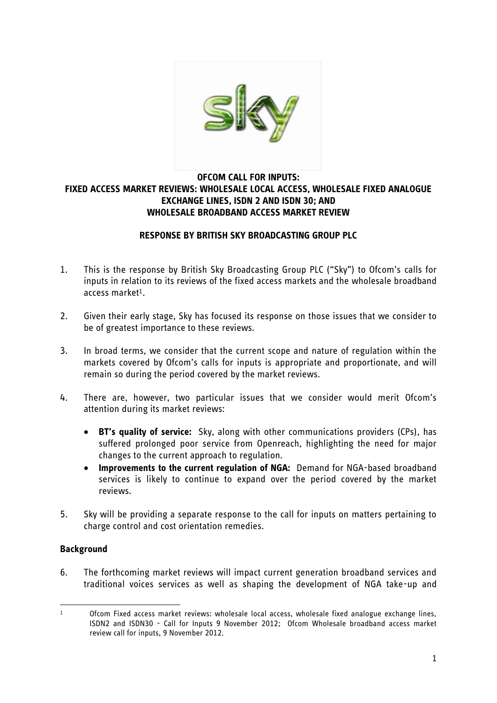

# **OFCOM CALL FOR INPUTS: FIXED ACCESS MARKET REVIEWS: WHOLESALE LOCAL ACCESS, WHOLESALE FIXED ANALOGUE EXCHANGE LINES, ISDN 2 AND ISDN 30; AND WHOLESALE BROADBAND ACCESS MARKET REVIEW**

## **RESPONSE BY BRITISH SKY BROADCASTING GROUP PLC**

- 1. This is the response by British Sky Broadcasting Group PLC ("Sky") to Ofcom's calls for inputs in relation to its reviews of the fixed access markets and the wholesale broadband access market1.
- 2. Given their early stage, Sky has focused its response on those issues that we consider to be of greatest importance to these reviews.
- 3. In broad terms, we consider that the current scope and nature of regulation within the markets covered by Ofcom's calls for inputs is appropriate and proportionate, and will remain so during the period covered by the market reviews.
- 4. There are, however, two particular issues that we consider would merit Ofcom's attention during its market reviews:
	- **BT's quality of service:** Sky, along with other communications providers (CPs), has suffered prolonged poor service from Openreach, highlighting the need for major changes to the current approach to regulation.
	- **Improvements to the current regulation of NGA:** Demand for NGA-based broadband services is likely to continue to expand over the period covered by the market reviews.
- 5. Sky will be providing a separate response to the call for inputs on matters pertaining to charge control and cost orientation remedies.

# **Background**

6. The forthcoming market reviews will impact current generation broadband services and traditional voices services as well as shaping the development of NGA take-up and

<sup>.</sup>  $1$  Ofcom Fixed access market reviews: wholesale local access, wholesale fixed analogue exchange lines, ISDN2 and ISDN30 - Call for Inputs 9 November 2012; Ofcom Wholesale broadband access market review call for inputs, 9 November 2012.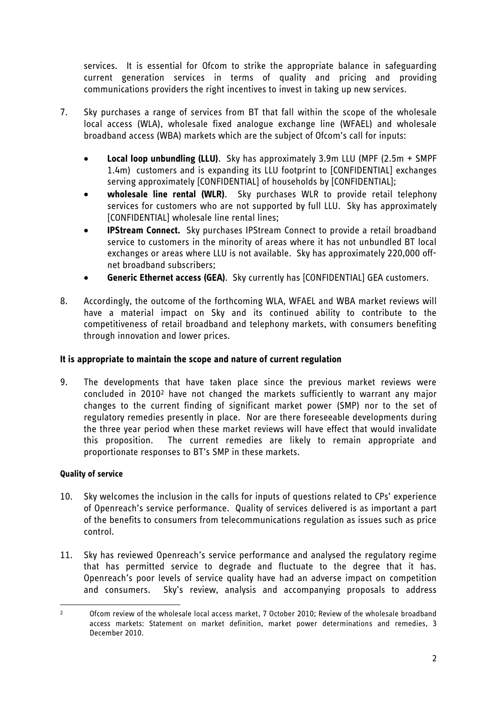services. It is essential for Ofcom to strike the appropriate balance in safeguarding current generation services in terms of quality and pricing and providing communications providers the right incentives to invest in taking up new services.

- 7. Sky purchases a range of services from BT that fall within the scope of the wholesale local access (WLA), wholesale fixed analogue exchange line (WFAEL) and wholesale broadband access (WBA) markets which are the subject of Ofcom's call for inputs:
	- **Local loop unbundling (LLU)**. Sky has approximately 3.9m LLU (MPF (2.5m + SMPF 1.4m) customers and is expanding its LLU footprint to [CONFIDENTIAL] exchanges serving approximately [CONFIDENTIAL] of households by [CONFIDENTIAL];
	- **wholesale line rental (WLR)**. Sky purchases WLR to provide retail telephony services for customers who are not supported by full LLU. Sky has approximately [CONFIDENTIAL] wholesale line rental lines;
	- **IPStream Connect.** Sky purchases IPStream Connect to provide a retail broadband service to customers in the minority of areas where it has not unbundled BT local exchanges or areas where LLU is not available. Sky has approximately 220,000 offnet broadband subscribers;
	- **Generic Ethernet access (GEA)**. Sky currently has [CONFIDENTIAL] GEA customers.
- 8. Accordingly, the outcome of the forthcoming WLA, WFAEL and WBA market reviews will have a material impact on Sky and its continued ability to contribute to the competitiveness of retail broadband and telephony markets, with consumers benefiting through innovation and lower prices.

# **It is appropriate to maintain the scope and nature of current regulation**

9. The developments that have taken place since the previous market reviews were concluded in 2010<sup>2</sup> have not changed the markets sufficiently to warrant any major changes to the current finding of significant market power (SMP) nor to the set of regulatory remedies presently in place. Nor are there foreseeable developments during the three year period when these market reviews will have effect that would invalidate this proposition. The current remedies are likely to remain appropriate and proportionate responses to BT's SMP in these markets.

# **Quality of service**

- 10. Sky welcomes the inclusion in the calls for inputs of questions related to CPs' experience of Openreach's service performance. Quality of services delivered is as important a part of the benefits to consumers from telecommunications regulation as issues such as price control.
- 11. Sky has reviewed Openreach's service performance and analysed the regulatory regime that has permitted service to degrade and fluctuate to the degree that it has. Openreach's poor levels of service quality have had an adverse impact on competition and consumers. Sky's review, analysis and accompanying proposals to address

<sup>.</sup> <sup>2</sup> Ofcom review of the wholesale local access market, 7 October 2010; Review of the wholesale broadband access markets: Statement on market definition, market power determinations and remedies, 3 December 2010.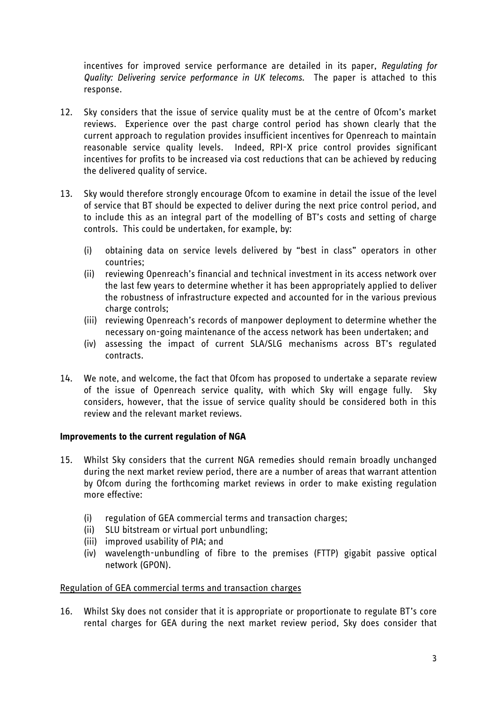incentives for improved service performance are detailed in its paper, *Regulating for Quality: Delivering service performance in UK telecoms*. The paper is attached to this response.

- 12. Sky considers that the issue of service quality must be at the centre of Ofcom's market reviews. Experience over the past charge control period has shown clearly that the current approach to regulation provides insufficient incentives for Openreach to maintain reasonable service quality levels. Indeed, RPI-X price control provides significant incentives for profits to be increased via cost reductions that can be achieved by reducing the delivered quality of service.
- 13. Sky would therefore strongly encourage Ofcom to examine in detail the issue of the level of service that BT should be expected to deliver during the next price control period, and to include this as an integral part of the modelling of BT's costs and setting of charge controls. This could be undertaken, for example, by:
	- (i) obtaining data on service levels delivered by "best in class" operators in other countries;
	- (ii) reviewing Openreach's financial and technical investment in its access network over the last few years to determine whether it has been appropriately applied to deliver the robustness of infrastructure expected and accounted for in the various previous charge controls;
	- (iii) reviewing Openreach's records of manpower deployment to determine whether the necessary on-going maintenance of the access network has been undertaken; and
	- (iv) assessing the impact of current SLA/SLG mechanisms across BT's regulated contracts.
- 14. We note, and welcome, the fact that Ofcom has proposed to undertake a separate review of the issue of Openreach service quality, with which Sky will engage fully. Sky considers, however, that the issue of service quality should be considered both in this review and the relevant market reviews.

# **Improvements to the current regulation of NGA**

- 15. Whilst Sky considers that the current NGA remedies should remain broadly unchanged during the next market review period, there are a number of areas that warrant attention by Ofcom during the forthcoming market reviews in order to make existing regulation more effective:
	- (i) regulation of GEA commercial terms and transaction charges;
	- (ii) SLU bitstream or virtual port unbundling;
	- (iii) improved usability of PIA; and
	- (iv) wavelength-unbundling of fibre to the premises (FTTP) gigabit passive optical network (GPON).

# Regulation of GEA commercial terms and transaction charges

16. Whilst Sky does not consider that it is appropriate or proportionate to regulate BT's core rental charges for GEA during the next market review period, Sky does consider that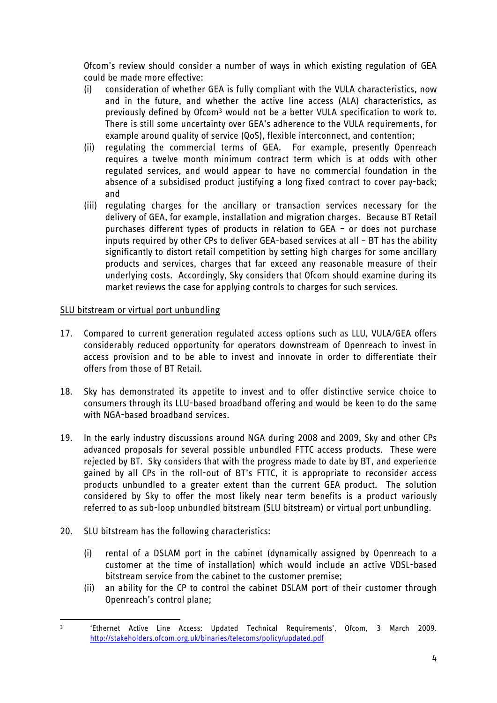Ofcom's review should consider a number of ways in which existing regulation of GEA could be made more effective:

- (i) consideration of whether GEA is fully compliant with the VULA characteristics, now and in the future, and whether the active line access (ALA) characteristics, as previously defined by Ofcom<sup>3</sup> would not be a better VULA specification to work to. There is still some uncertainty over GEA's adherence to the VULA requirements, for example around quality of service (QoS), flexible interconnect, and contention;
- (ii) regulating the commercial terms of GEA. For example, presently Openreach requires a twelve month minimum contract term which is at odds with other regulated services, and would appear to have no commercial foundation in the absence of a subsidised product justifying a long fixed contract to cover pay-back; and
- (iii) regulating charges for the ancillary or transaction services necessary for the delivery of GEA, for example, installation and migration charges. Because BT Retail purchases different types of products in relation to GEA – or does not purchase inputs required by other CPs to deliver GEA-based services at all – BT has the ability significantly to distort retail competition by setting high charges for some ancillary products and services, charges that far exceed any reasonable measure of their underlying costs. Accordingly, Sky considers that Ofcom should examine during its market reviews the case for applying controls to charges for such services.

# SLU bitstream or virtual port unbundling

- 17. Compared to current generation regulated access options such as LLU, VULA/GEA offers considerably reduced opportunity for operators downstream of Openreach to invest in access provision and to be able to invest and innovate in order to differentiate their offers from those of BT Retail.
- 18. Sky has demonstrated its appetite to invest and to offer distinctive service choice to consumers through its LLU-based broadband offering and would be keen to do the same with NGA-based broadband services.
- 19. In the early industry discussions around NGA during 2008 and 2009, Sky and other CPs advanced proposals for several possible unbundled FTTC access products. These were rejected by BT. Sky considers that with the progress made to date by BT, and experience gained by all CPs in the roll-out of BT's FTTC, it is appropriate to reconsider access products unbundled to a greater extent than the current GEA product. The solution considered by Sky to offer the most likely near term benefits is a product variously referred to as sub-loop unbundled bitstream (SLU bitstream) or virtual port unbundling.
- 20. SLU bitstream has the following characteristics:
	- (i) rental of a DSLAM port in the cabinet (dynamically assigned by Openreach to a customer at the time of installation) which would include an active VDSL-based bitstream service from the cabinet to the customer premise;
	- (ii) an ability for the CP to control the cabinet DSLAM port of their customer through Openreach's control plane;

 $\overline{a}$ 3 'Ethernet Active Line Access: Updated Technical Requirements', Ofcom, 3 March 2009. <http://stakeholders.ofcom.org.uk/binaries/telecoms/policy/updated.pdf>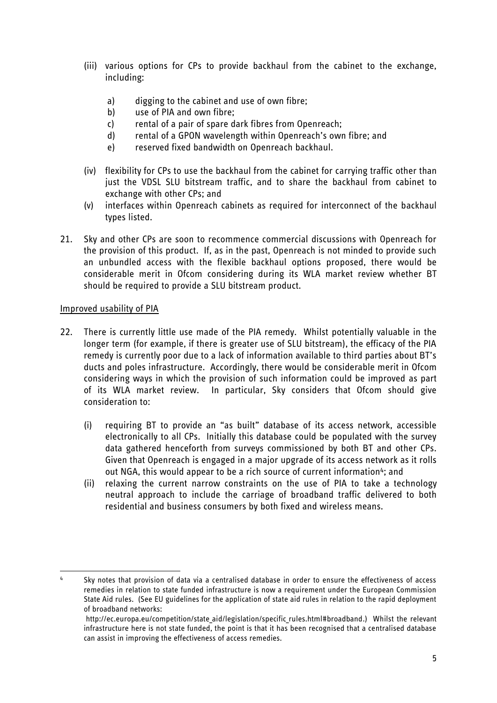- (iii) various options for CPs to provide backhaul from the cabinet to the exchange, including:
	- a) digging to the cabinet and use of own fibre;
	- b) use of PIA and own fibre;
	- c) rental of a pair of spare dark fibres from Openreach;
	- d) rental of a GPON wavelength within Openreach's own fibre; and
	- e) reserved fixed bandwidth on Openreach backhaul.
- (iv) flexibility for CPs to use the backhaul from the cabinet for carrying traffic other than just the VDSL SLU bitstream traffic, and to share the backhaul from cabinet to exchange with other CPs; and
- (v) interfaces within Openreach cabinets as required for interconnect of the backhaul types listed.
- 21. Sky and other CPs are soon to recommence commercial discussions with Openreach for the provision of this product. If, as in the past, Openreach is not minded to provide such an unbundled access with the flexible backhaul options proposed, there would be considerable merit in Ofcom considering during its WLA market review whether BT should be required to provide a SLU bitstream product.

## Improved usability of PIA

.

- 22. There is currently little use made of the PIA remedy. Whilst potentially valuable in the longer term (for example, if there is greater use of SLU bitstream), the efficacy of the PIA remedy is currently poor due to a lack of information available to third parties about BT's ducts and poles infrastructure. Accordingly, there would be considerable merit in Ofcom considering ways in which the provision of such information could be improved as part of its WLA market review. In particular, Sky considers that Ofcom should give consideration to:
	- (i) requiring BT to provide an "as built" database of its access network, accessible electronically to all CPs. Initially this database could be populated with the survey data gathered henceforth from surveys commissioned by both BT and other CPs. Given that Openreach is engaged in a major upgrade of its access network as it rolls out NGA, this would appear to be a rich source of current information<sup>4</sup>; and
	- (ii) relaxing the current narrow constraints on the use of PIA to take a technology neutral approach to include the carriage of broadband traffic delivered to both residential and business consumers by both fixed and wireless means.

<sup>&</sup>lt;sup>4</sup> Sky notes that provision of data via a centralised database in order to ensure the effectiveness of access remedies in relation to state funded infrastructure is now a requirement under the European Commission State Aid rules. (See EU guidelines for the application of state aid rules in relation to the rapid deployment of broadband networks:

[http://ec.europa.eu/competition/state\\_aid/legislation/specific\\_rules.html#broadband.](http://ec.europa.eu/competition/state_aid/legislation/specific_rules.html#broadband)) Whilst the relevant infrastructure here is not state funded, the point is that it has been recognised that a centralised database can assist in improving the effectiveness of access remedies.